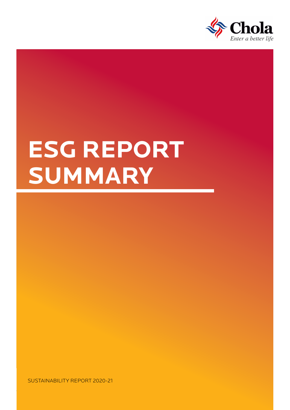

# **ESG REPORT SUMMARY**

SUSTAINABILITY REPORT 2020-21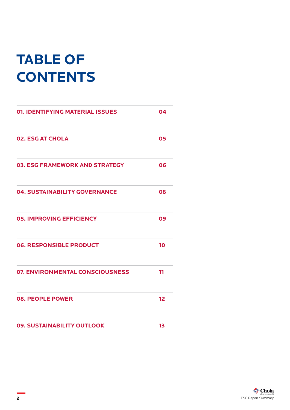## **TABLE OF CONTENTS**

| 01. IDENTIFYING MATERIAL ISSUES        | 04 |
|----------------------------------------|----|
| <b>02. ESG AT CHOLA</b>                | 05 |
| <b>03. ESG FRAMEWORK AND STRATEGY</b>  | 06 |
| <b>04. SUSTAINABILITY GOVERNANCE</b>   | 08 |
| <b>05. IMPROVING EFFICIENCY</b>        | 09 |
| <b>06. RESPONSIBLE PRODUCT</b>         | 10 |
| <b>07. ENVIRONMENTAL CONSCIOUSNESS</b> | 11 |
| <b>08. PEOPLE POWER</b>                | 12 |
| 09. SUSTAINABILITY OUTLOOK             | 13 |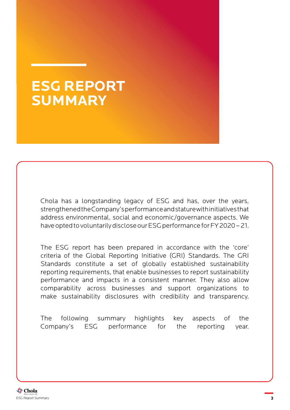#### **ESG REPORT SUMMARY**

Chola has a longstanding legacy of ESG and has, over the years, strengthened the Company's performance and stature with initiatives that address environmental, social and economic/governance aspects. We have opted to voluntarily disclose our ESG performance for FY 2020 – 21.

The ESG report has been prepared in accordance with the 'core' criteria of the Global Reporting Initiative (GRI) Standards. The GRI Standards constitute a set of globally established sustainability reporting requirements, that enable businesses to report sustainability performance and impacts in a consistent manner. They also allow comparability across businesses and support organizations to make sustainability disclosures with credibility and transparency.

The following summary highlights key aspects of the Company's ESG performance for the reporting year.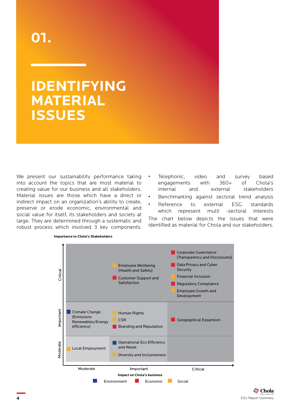#### <span id="page-3-0"></span>**IDENTIFYING MATERIAL ISSUES**

We present our sustainability performance taking into account the topics that are most material to creating value for our business and all stakeholders. Material issues are those which have a direct or indirect impact on an organization's ability to create, preserve or erode economic, environmental and social value for itself, its stakeholders and society at large. They are determined through a systematic and robust process which involved 3 key components:

- Telephonic, video and survey based engagements with 360+ of Chola's internal and external stakeholders
- Benchmarking against sectoral trend analysis
- Reference to external ESG standards which represent multi -sectoral interests

The chart below depicts the issues that were identified as material for Chola and our stakeholders.



#### **Importance to Chola's Stakeholders**

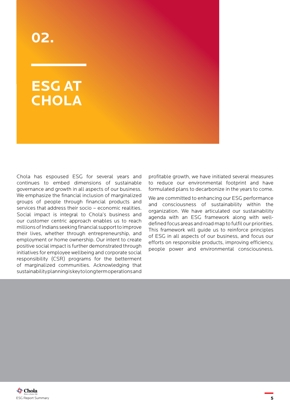#### <span id="page-4-0"></span>**ESG AT CHOLA**

Chola has espoused ESG for several years and continues to embed dimensions of sustainable governance and growth in all aspects of our business. We emphasize the financial inclusion of marginalized groups of people through financial products and services that address their socio – economic realities. Social impact is integral to Chola's business and our customer centric approach enables us to reach millions of Indians seeking financial support to improve their lives, whether through entrepreneurship, and employment or home ownership. Our intent to create positive social impact is further demonstrated through initiatives for employee wellbeing and corporate social responsibility (CSR) programs for the betterment of marginalized communities. Acknowledging that sustainability planning is key to long term operations and

profitable growth, we have initiated several measures to reduce our environmental footprint and have formulated plans to decarbonize in the years to come.

We are committed to enhancing our ESG performance and consciousness of sustainability within the organization. We have articulated our sustainability agenda with an ESG framework along with welldefined focus areas and road map to fulfil our priorities. This framework will guide us to reinforce principles of ESG in all aspects of our business, and focus our efforts on responsible products, improving efficiency, people power and environmental consciousness.

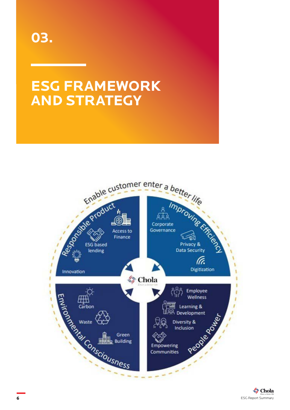<span id="page-5-0"></span>

### **ESG FRAMEWORK AND STRATEGY**

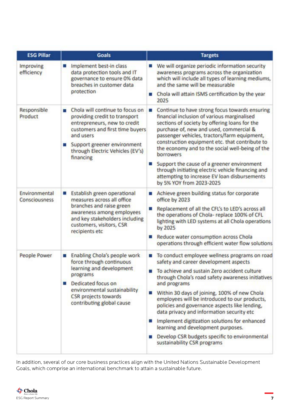| <b>ESG Pillar</b>              | <b>Goals</b>                                                                                                                                                                                                                               | <b>Targets</b>                                                                                                                                                                                                                                                                                                                                                                                                                                                                                                                                                                                  |
|--------------------------------|--------------------------------------------------------------------------------------------------------------------------------------------------------------------------------------------------------------------------------------------|-------------------------------------------------------------------------------------------------------------------------------------------------------------------------------------------------------------------------------------------------------------------------------------------------------------------------------------------------------------------------------------------------------------------------------------------------------------------------------------------------------------------------------------------------------------------------------------------------|
| Improving<br>efficiency        | Implement best-in class<br>ш<br>data protection tools and IT<br>governance to ensure 0% data<br>breaches in customer data<br>protection                                                                                                    | We will organize periodic information security<br>awareness programs across the organization<br>which will include all types of learning mediums,<br>and the same will be measurable<br>Chola will attain ISMS certification by the year<br>and the<br>2025                                                                                                                                                                                                                                                                                                                                     |
| Responsible<br>Product         | Chola will continue to focus on<br>п<br>providing credit to transport<br>entrepreneurs, new to credit<br>customers and first time buyers<br>and users<br>Support greener environment<br>ш<br>through Electric Vehicles (EV's)<br>financing | Continue to have strong focus towards ensuring<br><b>COL</b><br>financial inclusion of various marginalised<br>sections of society by offering loans for the<br>purchase of, new and used, commercial &<br>passenger vehicles, tractors/farm equipment,<br>construction equipment etc. that contribute to<br>the economy and to the social well-being of the<br>borrowers<br>Support the cause of a greener environment<br>through initiating electric vehicle financing and<br>attempting to increase EV loan disbursements<br>by 5% YOY from 2023-2025                                        |
| Environmental<br>Consciousness | Establish green operational<br>ш<br>measures across all office<br>branches and raise green<br>awareness among employees<br>and key stakeholders including<br>customers, visitors, CSR<br>recipients etc                                    | Achieve green building status for corporate<br>$\overline{\phantom{a}}$<br>office by 2023<br>Replacement of all the CFL's to LED's across all<br>the operations of Chola-replace 100% of CFL<br>lighting with LED systems at all Chola operations<br>by 2025<br>Reduce water consumption across Chola<br>operations through efficient water flow solutions                                                                                                                                                                                                                                      |
| People Power                   | Enabling Chola's people work<br>a.<br>force through continuous<br>learning and development<br>programs<br>Dedicated focus on<br>a.<br>environmental sustainability<br><b>CSR</b> projects towards<br>contributing global cause             | To conduct employee wellness programs on road<br><b>COL</b><br>safety and career development aspects<br>To achieve and sustain Zero accident culture<br>through Chola's road safety awareness initiatives<br>and programs<br>Within 30 days of joining, 100% of new Chola<br>employees will be introduced to our products,<br>policies and governance aspects like lending,<br>data privacy and information security etc<br>Implement digitization solutions for enhanced<br>learning and development purposes.<br>Develop CSR budgets specific to environmental<br>sustainability CSR programs |

In addition, several of our core business practices align with the United Nations Sustainable Development Goals, which comprise an international benchmark to attain a sustainable future.

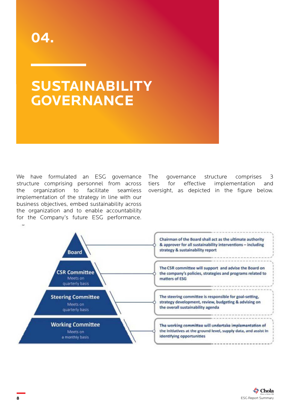### <span id="page-7-0"></span>**SUSTAINABILITY GOVERNANCE**

We have formulated an ESG governance structure comprising personnel from across the organization to facilitate seamless implementation of the strategy in line with our business objectives, embed sustainability across the organization and to enable accountability for the Company's future ESG performance.

The governance structure comprises 3 tiers for effective implementation and oversight, as depicted in the figure below.

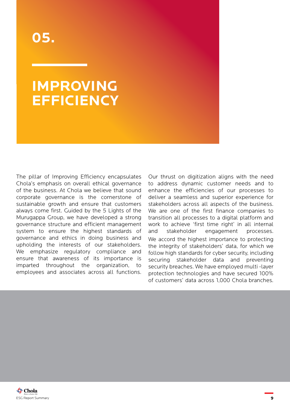#### <span id="page-8-0"></span>**IMPROVING EFFICIENCY**

The pillar of Improving Efficiency encapsulates Chola's emphasis on overall ethical governance of the business. At Chola we believe that sound corporate governance is the cornerstone of sustainable growth and ensure that customers always come first. Guided by the 5 Lights of the Murugappa Group, we have developed a strong governance structure and efficient management system to ensure the highest standards of governance and ethics in doing business and upholding the interests of our stakeholders. We emphasize regulatory compliance and ensure that awareness of its importance is imparted throughout the organization, to employees and associates across all functions.

Our thrust on digitization aligns with the need to address dynamic customer needs and to enhance the efficiencies of our processes to deliver a seamless and superior experience for stakeholders across all aspects of the business. We are one of the first finance companies to transition all processes to a digital platform and work to achieve 'first time right' in all internal and stakeholder engagement processes. We accord the highest importance to protecting the integrity of stakeholders' data, for which we follow high standards for cyber security, including securing stakeholder data and preventing security breaches. We have employed multi -layer protection technologies and have secured 100% of customers' data across 1,000 Chola branches.

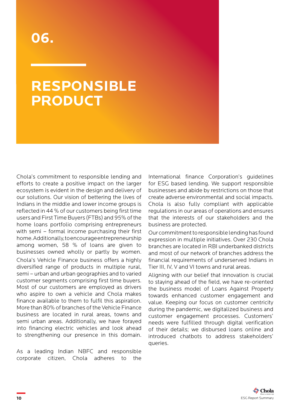#### <span id="page-9-0"></span>**RESPONSIBLE PRODUCT**

Chola's commitment to responsible lending and efforts to create a positive impact on the larger ecosystem is evident in the design and delivery of our solutions. Our vision of bettering the lives of Indians in the middle and lower income groups is reflected in 44 % of our customers being first time users and First Time Buyers (FTBs) and 95% of the home loans portfolio comprising entrepreneurs with semi – formal income purchasing their first home. Additionally, to encourage entrepreneurship among women, 58 % of loans are given to businesses owned wholly or partly by women. Chola's Vehicle Finance business offers a highly diversified range of products in multiple rural, semi – urban and urban geographies and to varied customer segments comprising first time buyers. Most of our customers are employed as drivers who aspire to own a vehicle and Chola makes finance available to them to fulfil this aspiration. More than 80% of branches of the Vehicle Finance business are located in rural areas, towns and semi urban areas. Additionally, we have forayed into financing electric vehicles and look ahead to strengthening our presence in this domain.

As a leading Indian NBFC and responsible corporate citizen, Chola adheres to the

International finance Corporation's guidelines for ESG based lending. We support responsible businesses and abide by restrictions on those that create adverse environmental and social impacts. Chola is also fully compliant with applicable regulations in our areas of operations and ensures that the interests of our stakeholders and the business are protected.

Our commitment to responsible lending has found expression in multiple initiatives. Over 230 Chola branches are located in RBI underbanked districts and most of our network of branches address the financial requirements of underserved Indians in Tier III, IV, V and VI towns and rural areas.

Aligning with our belief that innovation is crucial to staying ahead of the field, we have re-oriented the business model of Loans Against Property towards enhanced customer engagement and value. Keeping our focus on customer centricity during the pandemic, we digitalized business and customer engagement processes. Customers' needs were fulfilled through digital verification of their details; we disbursed loans online and introduced chatbots to address stakeholders' queries.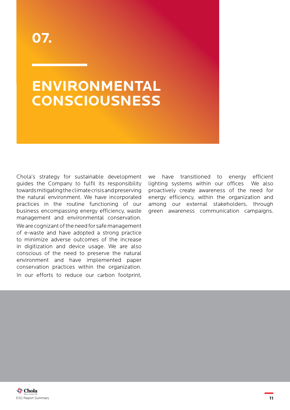### <span id="page-10-0"></span>**ENVIRONMENTAL CONSCIOUSNESS**

Chola's strategy for sustainable development guides the Company to fulfil its responsibility towards mitigating the climate crisis and preserving the natural environment. We have incorporated practices in the routine functioning of our business encompassing energy efficiency, waste management and environmental conservation. We are cognizant of the need for safe management of e-waste and have adopted a strong practice to minimize adverse outcomes of the increase in digitization and device usage. We are also conscious of the need to preserve the natural environment and have implemented paper conservation practices within the organization. In our efforts to reduce our carbon footprint,

we have transitioned to energy efficient lighting systems within our offices We also proactively create awareness of the need for energy efficiency, within the organization and among our external stakeholders, through green awareness communication campaigns.

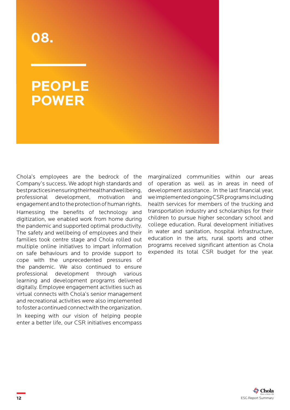#### <span id="page-11-0"></span>**PEOPLE POWER**

Chola's employees are the bedrock of the Company's success. We adopt high standards and best practices in ensuring their health and wellbeing, professional development, motivation and engagement and to the protection of human rights. Harnessing the benefits of technology and digitization, we enabled work from home during the pandemic and supported optimal productivity. The safety and wellbeing of employees and their families took centre stage and Chola rolled out multiple online initiatives to impart information on safe behaviours and to provide support to cope with the unprecedented pressures of the pandemic. We also continued to ensure professional development through various learning and development programs delivered digitally. Employee engagement activities such as virtual connects with Chola's senior management and recreational activities were also implemented to foster a continued connect with the organization.

In keeping with our vision of helping people enter a better life, our CSR initiatives encompass marginalized communities within our areas of operation as well as in areas in need of development assistance. In the last financial year, we implemented ongoing CSR programs including health services for members of the trucking and transportation industry and scholarships for their children to pursue higher secondary school and college education. Rural development initiatives in water and sanitation, hospital infrastructure, education in the arts, rural sports and other programs received significant attention as Chola expended its total CSR budget for the year.

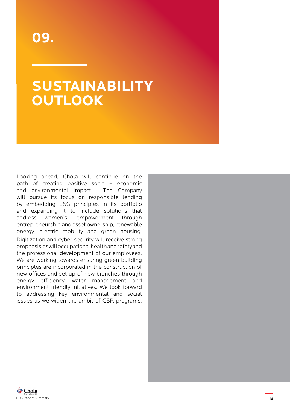#### <span id="page-12-0"></span>**SUSTAINABILITY OUTLOOK**

Looking ahead, Chola will continue on the path of creating positive socio – economic and environmental impact. The Company will pursue its focus on responsible lending by embedding ESG principles in its portfolio and expanding it to include solutions that address women's' empowerment through entrepreneurship and asset ownership, renewable energy, electric mobility and green housing. Digitization and cyber security will receive strong emphasis, as will occupational health and safety and the professional development of our employees. We are working towards ensuring green building principles are incorporated in the construction of new offices and set up of new branches through energy efficiency, water management and environment friendly initiatives. We look forward to addressing key environmental and social issues as we widen the ambit of CSR programs.